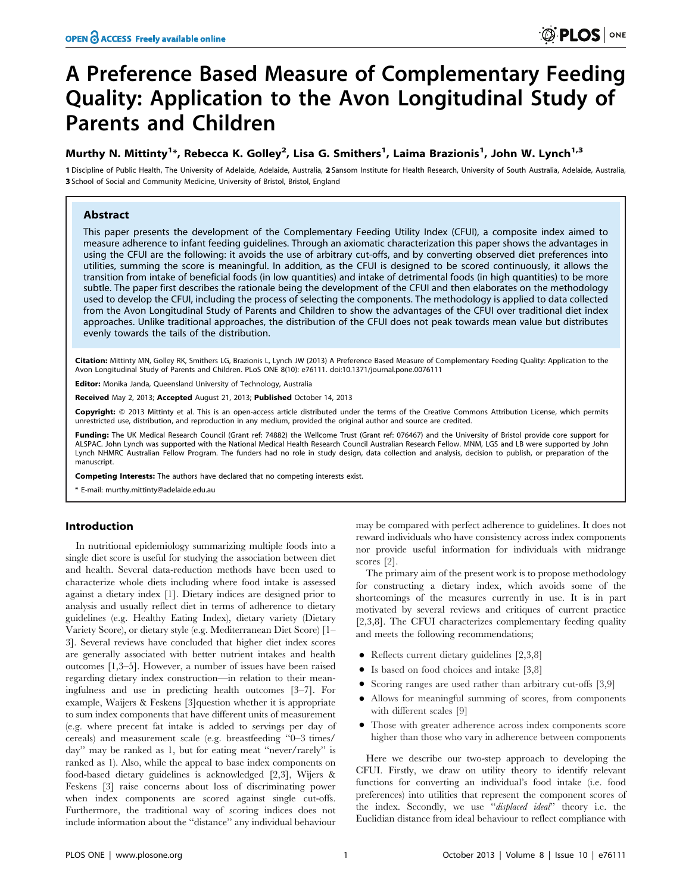# A Preference Based Measure of Complementary Feeding Quality: Application to the Avon Longitudinal Study of Parents and Children

# Murthy N. Mittinty<sup>1</sup>\*, Rebecca K. Golley<sup>2</sup>, Lisa G. Smithers<sup>1</sup>, Laima Brazionis<sup>1</sup>, John W. Lynch<sup>1,3</sup>

1 Discipline of Public Health, The University of Adelaide, Adelaide, Australia, 2 Sansom Institute for Health Research, University of South Australia, Adelaide, Australia, 3 School of Social and Community Medicine, University of Bristol, Bristol, England

# Abstract

This paper presents the development of the Complementary Feeding Utility Index (CFUI), a composite index aimed to measure adherence to infant feeding guidelines. Through an axiomatic characterization this paper shows the advantages in using the CFUI are the following: it avoids the use of arbitrary cut-offs, and by converting observed diet preferences into utilities, summing the score is meaningful. In addition, as the CFUI is designed to be scored continuously, it allows the transition from intake of beneficial foods (in low quantities) and intake of detrimental foods (in high quantities) to be more subtle. The paper first describes the rationale being the development of the CFUI and then elaborates on the methodology used to develop the CFUI, including the process of selecting the components. The methodology is applied to data collected from the Avon Longitudinal Study of Parents and Children to show the advantages of the CFUI over traditional diet index approaches. Unlike traditional approaches, the distribution of the CFUI does not peak towards mean value but distributes evenly towards the tails of the distribution.

Citation: Mittinty MN, Golley RK, Smithers LG, Brazionis L, Lynch JW (2013) A Preference Based Measure of Complementary Feeding Quality: Application to the Avon Longitudinal Study of Parents and Children. PLoS ONE 8(10): e76111. doi:10.1371/journal.pone.0076111

Editor: Monika Janda, Queensland University of Technology, Australia

Received May 2, 2013; Accepted August 21, 2013; Published October 14, 2013

**Copyright:** © 2013 Mittinty et al. This is an open-access article distributed under the terms of the Creative Commons Attribution License, which permits unrestricted use, distribution, and reproduction in any medium, provided the original author and source are credited.

Funding: The UK Medical Research Council (Grant ref: 74882) the Wellcome Trust (Grant ref: 076467) and the University of Bristol provide core support for ALSPAC. John Lynch was supported with the National Medical Health Research Council Australian Research Fellow. MNM, LGS and LB were supported by John Lynch NHMRC Australian Fellow Program. The funders had no role in study design, data collection and analysis, decision to publish, or preparation of the manuscript.

Competing Interests: The authors have declared that no competing interests exist.

\* E-mail: murthy.mittinty@adelaide.edu.au

# Introduction

In nutritional epidemiology summarizing multiple foods into a single diet score is useful for studying the association between diet and health. Several data-reduction methods have been used to characterize whole diets including where food intake is assessed against a dietary index [1]. Dietary indices are designed prior to analysis and usually reflect diet in terms of adherence to dietary guidelines (e.g. Healthy Eating Index), dietary variety (Dietary Variety Score), or dietary style (e.g. Mediterranean Diet Score) [1– 3]. Several reviews have concluded that higher diet index scores are generally associated with better nutrient intakes and health outcomes [1,3–5]. However, a number of issues have been raised regarding dietary index construction—in relation to their meaningfulness and use in predicting health outcomes [3–7]. For example, Waijers & Feskens [3]question whether it is appropriate to sum index components that have different units of measurement (e.g. where precent fat intake is added to servings per day of cereals) and measurement scale (e.g. breastfeeding ''0–3 times/ day'' may be ranked as 1, but for eating meat ''never/rarely'' is ranked as 1). Also, while the appeal to base index components on food-based dietary guidelines is acknowledged [2,3], Wijers & Feskens [3] raise concerns about loss of discriminating power when index components are scored against single cut-offs. Furthermore, the traditional way of scoring indices does not include information about the ''distance'' any individual behaviour

may be compared with perfect adherence to guidelines. It does not reward individuals who have consistency across index components nor provide useful information for individuals with midrange scores [2].

The primary aim of the present work is to propose methodology for constructing a dietary index, which avoids some of the shortcomings of the measures currently in use. It is in part motivated by several reviews and critiques of current practice [2,3,8]. The CFUI characterizes complementary feeding quality and meets the following recommendations;

- Reflects current dietary guidelines  $[2,3,8]$
- $\bullet$  Is based on food choices and intake [3,8]
- $\bullet$  Scoring ranges are used rather than arbitrary cut-offs [3,9]
- Allows for meaningful summing of scores, from components with different scales [9]
- N Those with greater adherence across index components score higher than those who vary in adherence between components

Here we describe our two-step approach to developing the CFUI. Firstly, we draw on utility theory to identify relevant functions for converting an individual's food intake (i.e. food preferences) into utilities that represent the component scores of the index. Secondly, we use ''displaced ideal'' theory i.e. the Euclidian distance from ideal behaviour to reflect compliance with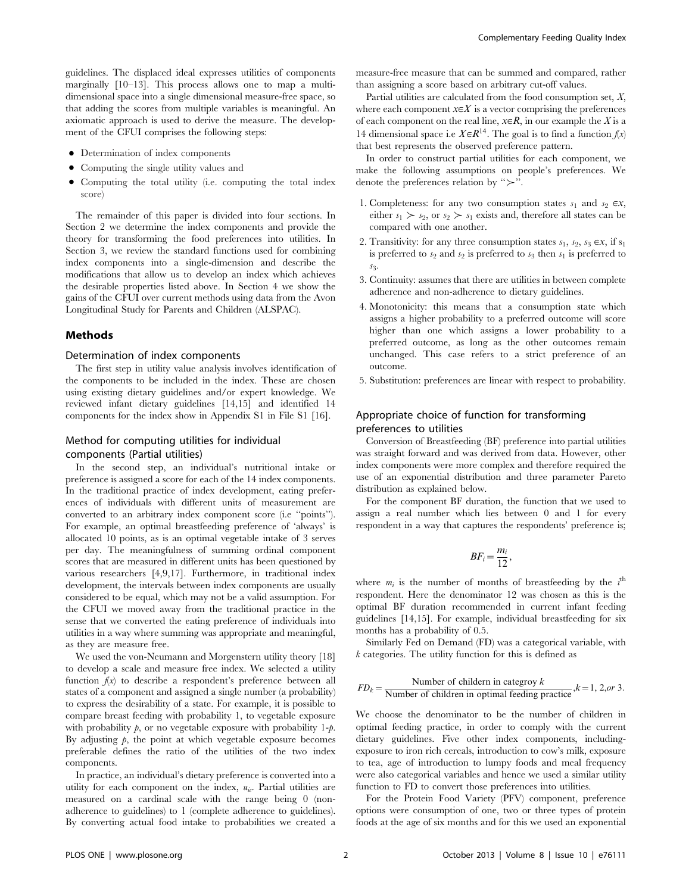guidelines. The displaced ideal expresses utilities of components marginally [10–13]. This process allows one to map a multidimensional space into a single dimensional measure-free space, so that adding the scores from multiple variables is meaningful. An axiomatic approach is used to derive the measure. The development of the CFUI comprises the following steps:

- Determination of index components
- Computing the single utility values and
- Computing the total utility (i.e. computing the total index score)

The remainder of this paper is divided into four sections. In Section 2 we determine the index components and provide the theory for transforming the food preferences into utilities. In Section 3, we review the standard functions used for combining index components into a single-dimension and describe the modifications that allow us to develop an index which achieves the desirable properties listed above. In Section 4 we show the gains of the CFUI over current methods using data from the Avon Longitudinal Study for Parents and Children (ALSPAC).

#### Methods

#### Determination of index components

The first step in utility value analysis involves identification of the components to be included in the index. These are chosen using existing dietary guidelines and/or expert knowledge. We reviewed infant dietary guidelines [14,15] and identified 14 components for the index show in Appendix S1 in File S1 [16].

# Method for computing utilities for individual components (Partial utilities)

In the second step, an individual's nutritional intake or preference is assigned a score for each of the 14 index components. In the traditional practice of index development, eating preferences of individuals with different units of measurement are converted to an arbitrary index component score (i.e ''points''). For example, an optimal breastfeeding preference of 'always' is allocated 10 points, as is an optimal vegetable intake of 3 serves per day. The meaningfulness of summing ordinal component scores that are measured in different units has been questioned by various researchers [4,9,17]. Furthermore, in traditional index development, the intervals between index components are usually considered to be equal, which may not be a valid assumption. For the CFUI we moved away from the traditional practice in the sense that we converted the eating preference of individuals into utilities in a way where summing was appropriate and meaningful, as they are measure free.

We used the von-Neumann and Morgenstern utility theory [18] to develop a scale and measure free index. We selected a utility function  $f(x)$  to describe a respondent's preference between all states of a component and assigned a single number (a probability) to express the desirability of a state. For example, it is possible to compare breast feeding with probability 1, to vegetable exposure with probability  $p$ , or no vegetable exposure with probability 1- $p$ . By adjusting  $p$ , the point at which vegetable exposure becomes preferable defines the ratio of the utilities of the two index components.

In practice, an individual's dietary preference is converted into a utility for each component on the index,  $u_{ic}$ . Partial utilities are measured on a cardinal scale with the range being 0 (nonadherence to guidelines) to 1 (complete adherence to guidelines). By converting actual food intake to probabilities we created a measure-free measure that can be summed and compared, rather than assigning a score based on arbitrary cut-off values.

Partial utilities are calculated from the food consumption set,  $X$ , where each component  $x \in X$  is a vector comprising the preferences of each component on the real line,  $x \in R$ , in our example the X is a 14 dimensional space i.e  $X \in \mathbb{R}^{14}$ . The goal is to find a function  $f(x)$ that best represents the observed preference pattern.

In order to construct partial utilities for each component, we make the following assumptions on people's preferences. We denote the preferences relation by " $\succ$ ".

- 1. Completeness: for any two consumption states  $s_1$  and  $s_2 \in x$ , either  $s_1 > s_2$ , or  $s_2 > s_1$  exists and, therefore all states can be compared with one another.
- 2. Transitivity: for any three consumption states  $s_1$ ,  $s_2$ ,  $s_3 \in x$ , if  $s_1$ is preferred to  $s_2$  and  $s_2$  is preferred to  $s_3$  then  $s_1$  is preferred to sq.
- 3. Continuity: assumes that there are utilities in between complete adherence and non-adherence to dietary guidelines.
- 4. Monotonicity: this means that a consumption state which assigns a higher probability to a preferred outcome will score higher than one which assigns a lower probability to a preferred outcome, as long as the other outcomes remain unchanged. This case refers to a strict preference of an outcome.
- 5. Substitution: preferences are linear with respect to probability.

# Appropriate choice of function for transforming preferences to utilities

Conversion of Breastfeeding (BF) preference into partial utilities was straight forward and was derived from data. However, other index components were more complex and therefore required the use of an exponential distribution and three parameter Pareto distribution as explained below.

For the component BF duration, the function that we used to assign a real number which lies between 0 and 1 for every respondent in a way that captures the respondents' preference is;

$$
BF_i=\frac{m_i}{12},
$$

where  $m_i$  is the number of months of breastfeeding by the  $i^{\text{th}}$ respondent. Here the denominator 12 was chosen as this is the optimal BF duration recommended in current infant feeding guidelines [14,15]. For example, individual breastfeeding for six months has a probability of 0.5.

Similarly Fed on Demand (FD) was a categorical variable, with  $k$  categories. The utility function for this is defined as

$$
FD_k = \frac{\text{Number of children in category } k}{\text{Number of children in optimal feeding practice}}, k = 1, 2, or 3.
$$

We choose the denominator to be the number of children in optimal feeding practice, in order to comply with the current dietary guidelines. Five other index components, includingexposure to iron rich cereals, introduction to cow's milk, exposure to tea, age of introduction to lumpy foods and meal frequency were also categorical variables and hence we used a similar utility function to FD to convert those preferences into utilities.

For the Protein Food Variety (PFV) component, preference options were consumption of one, two or three types of protein foods at the age of six months and for this we used an exponential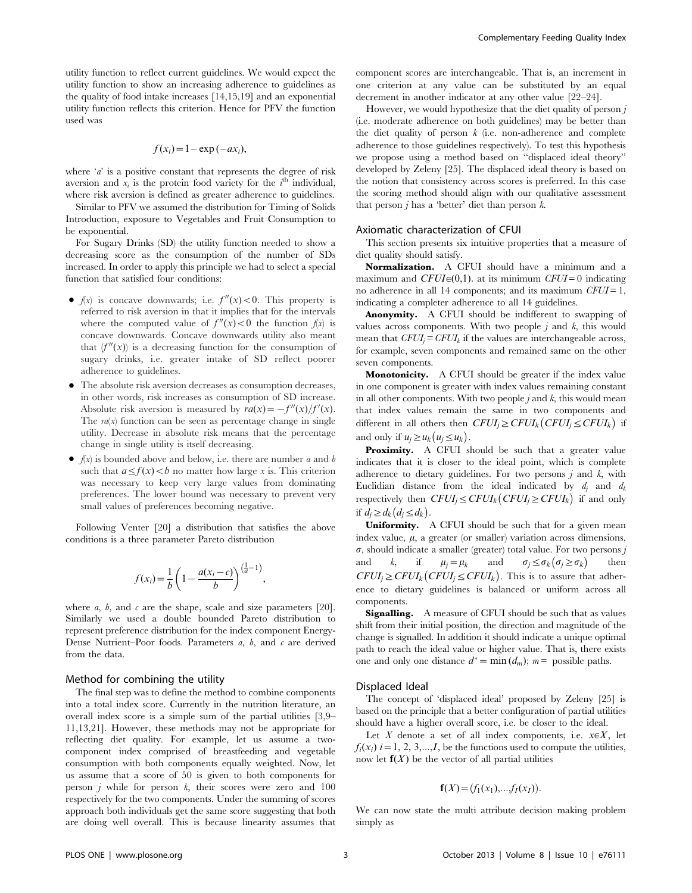utility function to reflect current guidelines. We would expect the utility function to show an increasing adherence to guidelines as the quality of food intake increases [14,15,19] and an exponential utility function reflects this criterion. Hence for PFV the function used was

$$
f(x_i) = 1 - \exp(-ax_i),
$$

where  $a'$  is a positive constant that represents the degree of risk aversion and  $\dot{x}_i$  is the protein food variety for the  $i^{\text{th}}$  individual, where risk aversion is defined as greater adherence to guidelines.

Similar to PFV we assumed the distribution for Timing of Solids Introduction, exposure to Vegetables and Fruit Consumption to be exponential.

For Sugary Drinks (SD) the utility function needed to show a decreasing score as the consumption of the number of SDs increased. In order to apply this principle we had to select a special function that satisfied four conditions:

- $f(x)$  is concave downwards; i.e.  $f''(x) < 0$ . This property is referred to risk aversion in that it implies that for the intervals where the computed value of  $f''(x) < 0$  the function  $f(x)$  is concave downwards. Concave downwards utility also meant that  $(f''(x))$  is a decreasing function for the consumption of sugary drinks, i.e. greater intake of SD reflect poorer adherence to guidelines.
- N The absolute risk aversion decreases as consumption decreases, in other words, risk increases as consumption of SD increase. Absolute risk aversion is measured by  $ra(x) = -f''(x)/f'(x)$ . The  $ra(x)$  function can be seen as percentage change in single utility. Decrease in absolute risk means that the percentage change in single utility is itself decreasing.
- $\bullet$   $f(x)$  is bounded above and below, i.e. there are number a and b such that  $a \le f(x) < b$  no matter how large x is. This criterion was necessary to keep very large values from dominating preferences. The lower bound was necessary to prevent very small values of preferences becoming negative.

Following Venter [20] a distribution that satisfies the above conditions is a three parameter Pareto distribution

$$
f(x_i) = \frac{1}{b} \left( 1 - \frac{a(x_i - c)}{b} \right)^{\left(\frac{1}{a} - 1\right)},
$$

where *a*, *b*, and *c* are the shape, scale and size parameters [20]. Similarly we used a double bounded Pareto distribution to represent preference distribution for the index component Energy-Dense Nutrient–Poor foods. Parameters  $a, b$ , and  $c$  are derived from the data.

# Method for combining the utility

The final step was to define the method to combine components into a total index score. Currently in the nutrition literature, an overall index score is a simple sum of the partial utilities [3,9– 11,13,21]. However, these methods may not be appropriate for reflecting diet quality. For example, let us assume a twocomponent index comprised of breastfeeding and vegetable consumption with both components equally weighted. Now, let us assume that a score of 50 is given to both components for person  $j$  while for person  $k$ , their scores were zero and 100 respectively for the two components. Under the summing of scores approach both individuals get the same score suggesting that both are doing well overall. This is because linearity assumes that component scores are interchangeable. That is, an increment in one criterion at any value can be substituted by an equal decrement in another indicator at any other value [22–24].

However, we would hypothesize that the diet quality of person  $j$ (i.e. moderate adherence on both guidelines) may be better than the diet quality of person  $k$  (i.e. non-adherence and complete adherence to those guidelines respectively). To test this hypothesis we propose using a method based on ''displaced ideal theory'' developed by Zeleny [25]. The displaced ideal theory is based on the notion that consistency across scores is preferred. In this case the scoring method should align with our qualitative assessment that person  $i$  has a 'better' diet than person  $k$ .

#### Axiomatic characterization of CFUI

This section presents six intuitive properties that a measure of diet quality should satisfy.

Normalization. A CFUI should have a minimum and a maximum and  $CFUI \in (0,1)$ . at its minimum CFUI = 0 indicating no adherence in all 14 components; and its maximum  $CFUI = 1$ , indicating a completer adherence to all 14 guidelines.

Anonymity. A CFUI should be indifferent to swapping of values across components. With two people  $j$  and  $k$ , this would mean that  $CFUI_i = CFUI_k$  if the values are interchangeable across, for example, seven components and remained same on the other seven components.

Monotonicity. A CFUI should be greater if the index value in one component is greater with index values remaining constant in all other components. With two people  $j$  and  $k$ , this would mean that index values remain the same in two components and different in all others then  $CFUI_j \ge CFUI_k (CFUI_j \le CFUI_k)$  if and only if  $u_j \geq u_k (u_j \leq u_k)$ .

Proximity. A CFUI should be such that a greater value indicates that it is closer to the ideal point, which is complete adherence to dietary guidelines. For two persons  $j$  and  $k$ , with Euclidian distance from the ideal indicated by  $d_i$  and  $d_k$ respectively then  $CFUI_j \le CFUI_k (CFUI_j \ge CFUI_k)$  if and only if  $d_j \geq d_k (d_j \leq d_k)$ .

Uniformity. A CFUI should be such that for a given mean index value,  $\mu$ , a greater (or smaller) variation across dimensions,  $\sigma$ , should indicate a smaller (greater) total value. For two persons j and k, if  $\mu_j = \mu_k$  and  $\sigma_j \leq \sigma_k(\sigma_j \geq \sigma_k)$  then  $CFUI_j \ge CFUI_k(CFUI_j \le CFUI_k)$ . This is to assure that adherence to dietary guidelines is balanced or uniform across all components.

**Signalling.** A measure of CFUI should be such that as values shift from their initial position, the direction and magnitude of the change is signalled. In addition it should indicate a unique optimal path to reach the ideal value or higher value. That is, there exists one and only one distance  $d^* = \min(d_m)$ ;  $m = \text{possible paths}$ .

#### Displaced Ideal

The concept of 'displaced ideal' proposed by Zeleny [25] is based on the principle that a better configuration of partial utilities should have a higher overall score, i.e. be closer to the ideal.

Let X denote a set of all index components, i.e.  $x \in X$ , let  $f_i(x_i)$  i = 1, 2, 3,...,I, be the functions used to compute the utilities, now let  $f(X)$  be the vector of all partial utilities

$$
\mathbf{f}(X) = (f_1(x_1), \dots, f_I(x_I)).
$$

We can now state the multi attribute decision making problem simply as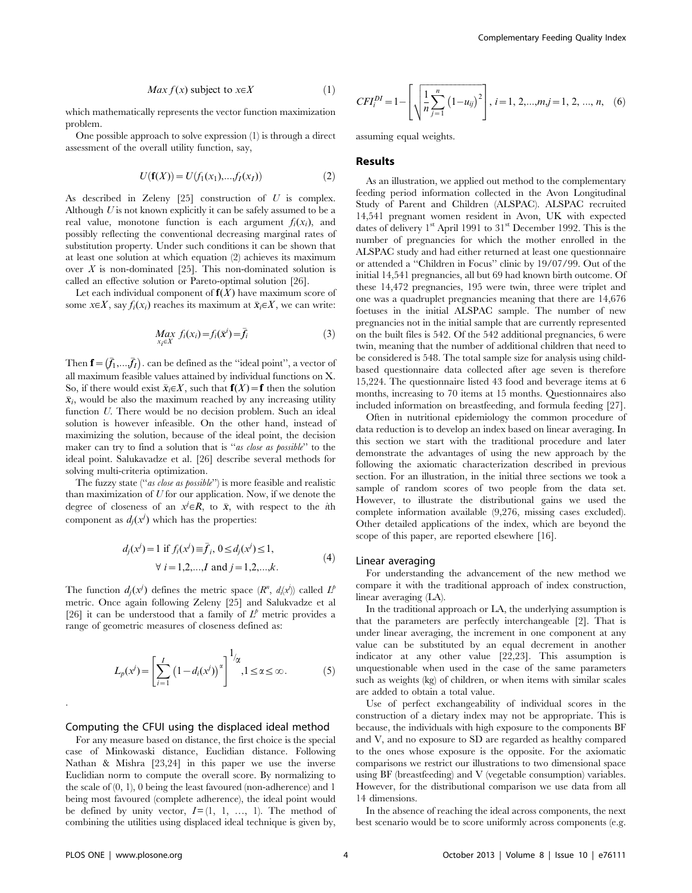$$
Max f(x) \text{ subject to } x \in X \tag{1}
$$

which mathematically represents the vector function maximization problem.

One possible approach to solve expression (1) is through a direct assessment of the overall utility function, say,

$$
U(f(X)) = U(f_1(x_1),...,f_I(x_I))
$$
\n(2)

As described in Zeleny  $[25]$  construction of U is complex. Although  $U$  is not known explicitly it can be safely assumed to be a real value, monotone function is each argument  $f_i(x_i)$ , and possibly reflecting the conventional decreasing marginal rates of substitution property. Under such conditions it can be shown that at least one solution at which equation (2) achieves its maximum over  $X$  is non-dominated [25]. This non-dominated solution is called an effective solution or Pareto-optimal solution [26].

Let each individual component of  $f(X)$  have maximum score of some  $x \in X$ , say  $f_i(x_i)$  reaches its maximum at  $\bar{x}_i \in X$ , we can write:

$$
\underset{x_i \in X}{Max} f_i(x_i) = f_i(\bar{x}^i) = \bar{f}_i
$$
\n(3)

Then  $\mathbf{f} = (\bar{f}_1,...\bar{f}_I)$ . can be defined as the "ideal point", a vector of all maximum feasible values attained by individual functions on X. So, if there would exist  $\bar{x}_i \in X$ , such that  $\mathbf{f}(X) = \mathbf{f}$  then the solution  $\bar{x}_i$ , would be also the maximum reached by any increasing utility function U. There would be no decision problem. Such an ideal solution is however infeasible. On the other hand, instead of maximizing the solution, because of the ideal point, the decision maker can try to find a solution that is "as close as possible" to the ideal point. Salukavadze et al. [26] describe several methods for solving multi-criteria optimization.

The fuzzy state ("as close as possible") is more feasible and realistic than maximization of  $U$  for our application. Now, if we denote the degree of closeness of an  $x^j \in R$ , to  $\bar{x}$ , with respect to the *i*th component as  $d_j(x^j)$  which has the properties:

$$
d_j(x^j) = 1 \text{ if } f_i(x^j) \equiv \bar{f}_i, \ 0 \le d_j(x^j) \le 1, \forall i = 1, 2, ..., I \text{ and } j = 1, 2, ..., k.
$$
 (4)

The function  $d_j(x^j)$  defines the metric space  $(R^n, d_i(x^j))$  called  $L^p$ metric. Once again following Zeleny [25] and Salukvadze et al [26] it can be understood that a family of  $L^p$  metric provides a range of geometric measures of closeness defined as:

$$
L_p(x^j) = \left[\sum_{i=1}^I \left(1 - d_i(x^j)\right)^{\alpha}\right]^{1/\alpha}, 1 \le \alpha \le \infty.
$$
 (5)

#### Computing the CFUI using the displaced ideal method

For any measure based on distance, the first choice is the special case of Minkowaski distance, Euclidian distance. Following Nathan & Mishra [23,24] in this paper we use the inverse Euclidian norm to compute the overall score. By normalizing to the scale of (0, 1), 0 being the least favoured (non-adherence) and 1 being most favoured (complete adherence), the ideal point would be defined by unity vector,  $I=[1, 1, ..., 1]$ . The method of combining the utilities using displaced ideal technique is given by,

$$
CFI_i^{DI} = 1 - \left[ \sqrt{\frac{1}{n} \sum_{j=1}^n (1 - u_{ij})^2} \right], i = 1, 2, ..., m, j = 1, 2, ..., n, (6)
$$

assuming equal weights.

# Results

As an illustration, we applied out method to the complementary feeding period information collected in the Avon Longitudinal Study of Parent and Children (ALSPAC). ALSPAC recruited 14,541 pregnant women resident in Avon, UK with expected dates of delivery  $1<sup>st</sup>$  April 1991 to  $31<sup>st</sup>$  December 1992. This is the number of pregnancies for which the mother enrolled in the ALSPAC study and had either returned at least one questionnaire or attended a ''Children in Focus'' clinic by 19/07/99. Out of the initial 14,541 pregnancies, all but 69 had known birth outcome. Of these 14,472 pregnancies, 195 were twin, three were triplet and one was a quadruplet pregnancies meaning that there are 14,676 foetuses in the initial ALSPAC sample. The number of new pregnancies not in the initial sample that are currently represented on the built files is 542. Of the 542 additional pregnancies, 6 were twin, meaning that the number of additional children that need to be considered is 548. The total sample size for analysis using childbased questionnaire data collected after age seven is therefore 15,224. The questionnaire listed 43 food and beverage items at 6 months, increasing to 70 items at 15 months. Questionnaires also included information on breastfeeding, and formula feeding [27].

Often in nutritional epidemiology the common procedure of data reduction is to develop an index based on linear averaging. In this section we start with the traditional procedure and later demonstrate the advantages of using the new approach by the following the axiomatic characterization described in previous section. For an illustration, in the initial three sections we took a sample of random scores of two people from the data set. However, to illustrate the distributional gains we used the complete information available (9,276, missing cases excluded). Other detailed applications of the index, which are beyond the scope of this paper, are reported elsewhere [16].

#### Linear averaging

For understanding the advancement of the new method we compare it with the traditional approach of index construction, linear averaging (LA).

In the traditional approach or LA, the underlying assumption is that the parameters are perfectly interchangeable [2]. That is under linear averaging, the increment in one component at any value can be substituted by an equal decrement in another indicator at any other value [22,23]. This assumption is unquestionable when used in the case of the same parameters such as weights (kg) of children, or when items with similar scales are added to obtain a total value.

Use of perfect exchangeability of individual scores in the construction of a dietary index may not be appropriate. This is because, the individuals with high exposure to the components BF and V, and no exposure to SD are regarded as healthy compared to the ones whose exposure is the opposite. For the axiomatic comparisons we restrict our illustrations to two dimensional space using BF (breastfeeding) and V (vegetable consumption) variables. However, for the distributional comparison we use data from all 14 dimensions.

In the absence of reaching the ideal across components, the next best scenario would be to score uniformly across components (e.g.

.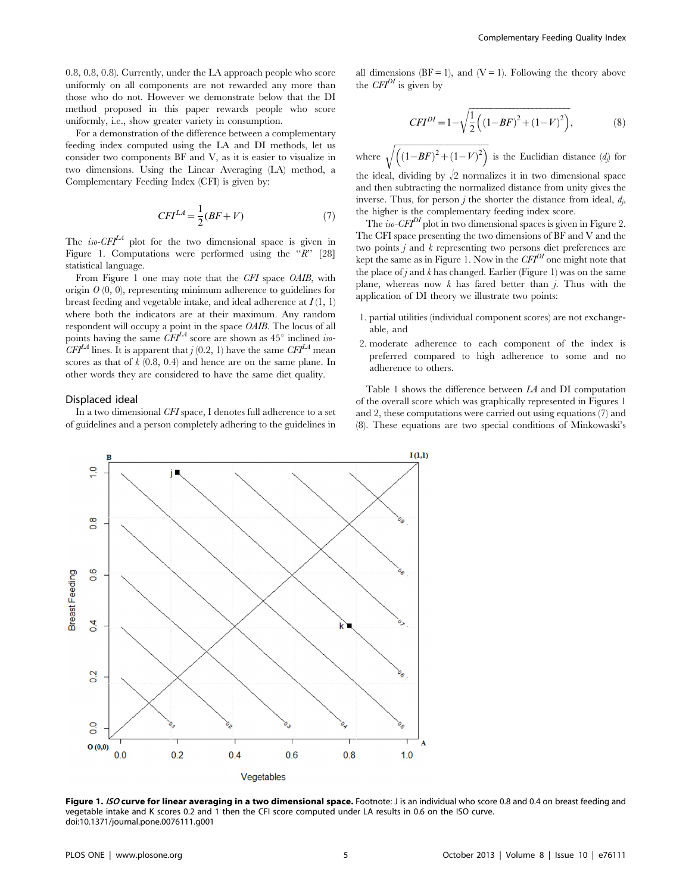0.8, 0.8, 0.8). Currently, under the LA approach people who score uniformly on all components are not rewarded any more than those who do not. However we demonstrate below that the DI method proposed in this paper rewards people who score uniformly, i.e., show greater variety in consumption.

For a demonstration of the difference between a complementary feeding index computed using the LA and DI methods, let us consider two components BF and V, as it is easier to visualize in two dimensions. Using the Linear Averaging (LA) method, a Complementary Feeding Index (CFI) is given by:

$$
CFI^{LA} = \frac{1}{2}(BF + V) \tag{7}
$$

The iso- $CFI<sup>LA</sup>$  plot for the two dimensional space is given in Figure 1. Computations were performed using the  $\mathscr{R}$ " [28] statistical language.

From Figure 1 one may note that the CFI space OAIB, with origin  $O(0, 0)$ , representing minimum adherence to guidelines for breast feeding and vegetable intake, and ideal adherence at  $I(1, 1)$ where both the indicators are at their maximum. Any random respondent will occupy a point in the space OAIB. The locus of all points having the same  $\ddot{C}F\dot{I}^{LA}$  score are shown as 45° inclined iso- $CFI<sup>LA</sup>$  lines. It is apparent that  $j$  (0.2, 1) have the same  $CFI<sup>LA</sup>$  mean scores as that of  $k$  (0.8, 0.4) and hence are on the same plane. In other words they are considered to have the same diet quality.

# Displaced ideal

In a two dimensional CFI space, I denotes full adherence to a set of guidelines and a person completely adhering to the guidelines in all dimensions  $(BF = 1)$ , and  $(V = 1)$ . Following the theory above the  $CFT^{DI}$  is given by

$$
CFI^{DI} = 1 - \sqrt{\frac{1}{2} \left( \left( 1 - BF \right)^2 + \left( 1 - V \right)^2 \right)},
$$
\n(8)

where  $\frac{1}{\sqrt{2}}$  $\sqrt{\left(\left(1-BF\right)^2+\left(1-V\right)^2\right)}$  is the Euclidian distance  $(d_j)$  for

the ideal, dividing by  $\sqrt{2}$  normalizes it in two dimensional space and then subtracting the normalized distance from unity gives the inverse. Thus, for person  $j$  the shorter the distance from ideal,  $d_j$ , the higher is the complementary feeding index score.

The *iso-CFI*<sup>DI</sup> plot in two dimensional spaces is given in Figure 2. The CFI space presenting the two dimensions of BF and V and the two points  $j$  and  $k$  representing two persons diet preferences are kept the same as in Figure 1. Now in the  $CFT^{DI}$  one might note that the place of  $j$  and  $k$  has changed. Earlier (Figure 1) was on the same plane, whereas now  $k$  has fared better than  $j$ . Thus with the application of DI theory we illustrate two points:

- 1. partial utilities (individual component scores) are not exchangeable, and
- 2. moderate adherence to each component of the index is preferred compared to high adherence to some and no adherence to others.

Table 1 shows the difference between LA and DI computation of the overall score which was graphically represented in Figures 1 and 2, these computations were carried out using equations (7) and (8). These equations are two special conditions of Minkowaski's



Figure 1. ISO curve for linear averaging in a two dimensional space. Footnote: J is an individual who score 0.8 and 0.4 on breast feeding and vegetable intake and K scores 0.2 and 1 then the CFI score computed under LA results in 0.6 on the ISO curve. doi:10.1371/journal.pone.0076111.g001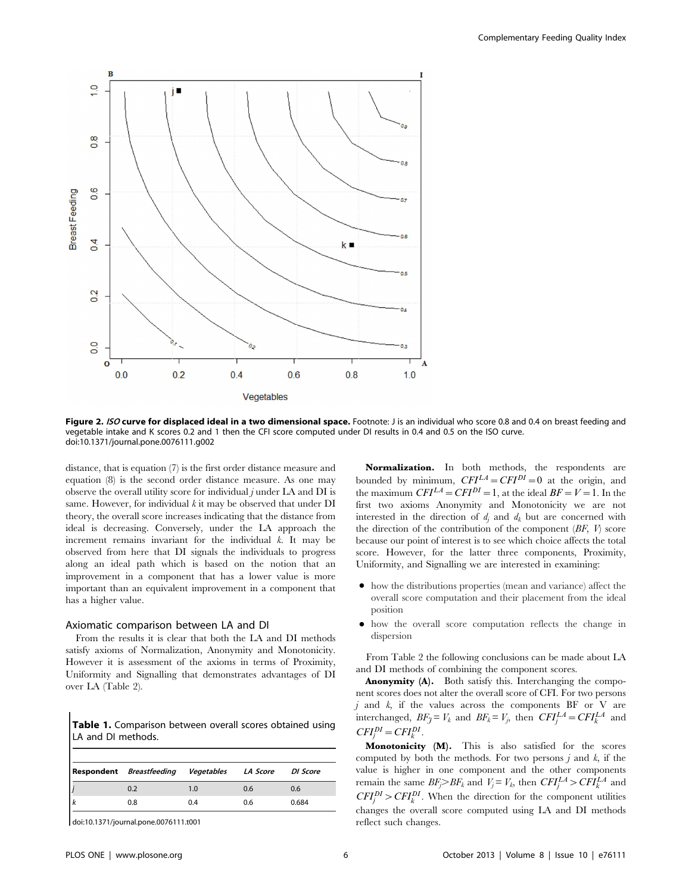

Figure 2. ISO curve for displaced ideal in a two dimensional space. Footnote: J is an individual who score 0.8 and 0.4 on breast feeding and vegetable intake and K scores 0.2 and 1 then the CFI score computed under DI results in 0.4 and 0.5 on the ISO curve. doi:10.1371/journal.pone.0076111.g002

distance, that is equation (7) is the first order distance measure and equation (8) is the second order distance measure. As one may observe the overall utility score for individual  $j$  under LA and DI is same. However, for individual  $k$  it may be observed that under  $DI$ theory, the overall score increases indicating that the distance from ideal is decreasing. Conversely, under the LA approach the increment remains invariant for the individual k. It may be observed from here that DI signals the individuals to progress along an ideal path which is based on the notion that an improvement in a component that has a lower value is more important than an equivalent improvement in a component that has a higher value.

#### Axiomatic comparison between LA and DI

From the results it is clear that both the LA and DI methods satisfy axioms of Normalization, Anonymity and Monotonicity. However it is assessment of the axioms in terms of Proximity, Uniformity and Signalling that demonstrates advantages of DI over LA (Table 2).

Table 1. Comparison between overall scores obtained using LA and DI methods.

| <b>Respondent</b> Breastfeeding Vegetables LA Score |     |     | DI Score |
|-----------------------------------------------------|-----|-----|----------|
| 0.2                                                 | 1.0 | 0.6 | 0.6      |
| 0.8                                                 | 0.4 | 0.6 | 0.684    |
|                                                     |     |     |          |

doi:10.1371/journal.pone.0076111.t001

Normalization. In both methods, the respondents are bounded by minimum,  $CFI^{LA} = CFI^{DI} = 0$  at the origin, and the maximum  $CFI^{LA} = CFI^{DI} = 1$ , at the ideal  $BF = V = 1$ . In the first two axioms Anonymity and Monotonicity we are not interested in the direction of  $d_i$  and  $d_k$  but are concerned with the direction of the contribution of the component  $(BF, V)$  score because our point of interest is to see which choice affects the total score. However, for the latter three components, Proximity, Uniformity, and Signalling we are interested in examining:

- $\bullet$  how the distributions properties (mean and variance) affect the overall score computation and their placement from the ideal position
- $\bullet$  how the overall score computation reflects the change in dispersion

From Table 2 the following conclusions can be made about LA and DI methods of combining the component scores.

Anonymity (A). Both satisfy this. Interchanging the component scores does not alter the overall score of CFI. For two persons  $j$  and  $k$ , if the values across the components BF or V are interchanged,  $BF_{\tilde{J}} = V_k$  and  $BF_k = V_j$ , then  $CFI_j^{LA} = CFI_k^{LA}$  and  $CFI_j^{DI}=CFI_k^{DI}$ .

Monotonicity (M). This is also satisfied for the scores computed by both the methods. For two persons  $j$  and  $k$ , if the value is higher in one component and the other components remain the same  $BF_j > BF_k$  and  $V_j = V_k$ , then  $CFI_j^{LA} > CFI_k^{LA}$  and  $CFI_j^{DI} > CFI_k^{DI}$ . When the direction for the component utilities changes the overall score computed using LA and DI methods reflect such changes.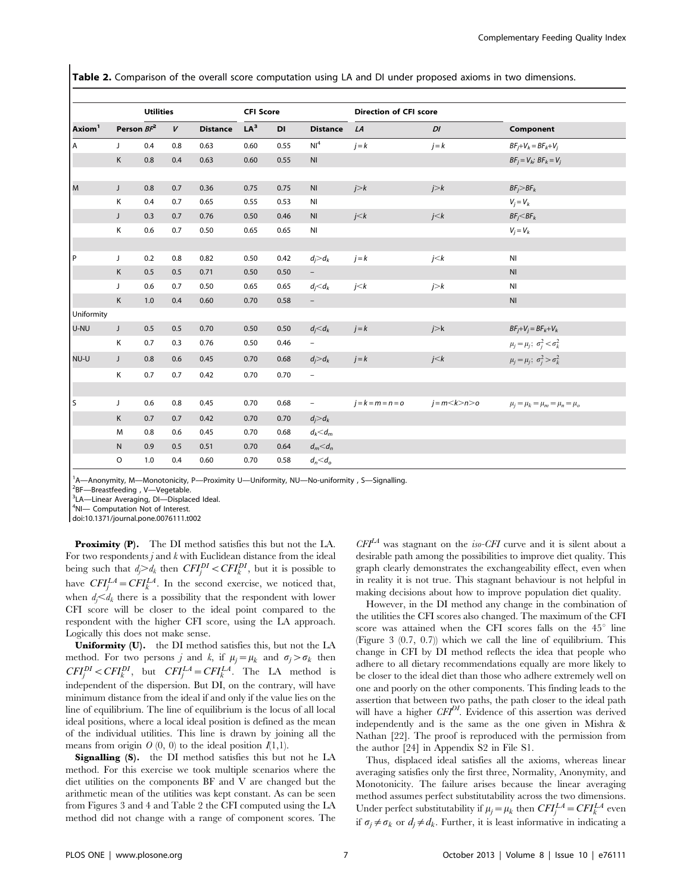Table 2. Comparison of the overall score computation using LA and DI under proposed axioms in two dimensions.

|                    |               | <b>Utilities</b> |              |                 | <b>CFI Score</b> |      | <b>Direction of CFI score</b> |             |                     |                                             |
|--------------------|---------------|------------------|--------------|-----------------|------------------|------|-------------------------------|-------------|---------------------|---------------------------------------------|
| Axiom <sup>1</sup> | Person $BF^2$ |                  | $\mathbf{V}$ | <b>Distance</b> | LA <sup>3</sup>  | DI   | <b>Distance</b>               | LA          | DI                  | Component                                   |
| A                  | J             | 0.4              | 0.8          | 0.63            | 0.60             | 0.55 | NI <sup>4</sup>               | $j = k$     | $j = k$             | $BF_i+V_k=BF_k+V_i$                         |
|                    | K             | 0.8              | 0.4          | 0.63            | 0.60             | 0.55 | N <sub>l</sub>                |             |                     | $BF_j = V_k$ ; $BF_k = V_j$                 |
| M                  | J             | 0.8              | 0.7          | 0.36            | 0.75             | 0.75 | N <sub>l</sub>                | j > k       | j > k               | $BF_i > BF_k$                               |
|                    | Κ             | 0.4              | 0.7          | 0.65            | 0.55             | 0.53 | NI                            |             |                     | $V_j = V_k$                                 |
|                    | J             | 0.3              | 0.7          | 0.76            | 0.50             | 0.46 | N <sub>l</sub>                | j < k       | j < k               | $BF_j < BF_k$                               |
|                    | Κ             | 0.6              | 0.7          | 0.50            | 0.65             | 0.65 | NI                            |             |                     | $V_i = V_k$                                 |
|                    |               |                  |              |                 |                  |      |                               |             |                     |                                             |
| l P                | J             | 0.2              | 0.8          | 0.82            | 0.50             | 0.42 | $d_i > d_k$                   | $j = k$     | j < k               | N <sub>l</sub>                              |
|                    | K             | 0.5              | 0.5          | 0.71            | 0.50             | 0.50 |                               |             |                     | N <sub>l</sub>                              |
|                    | J             | 0.6              | 0.7          | 0.50            | 0.65             | 0.65 | $d_i$ $\lt d_k$               | j < k       | j > k               | $\mathsf{N}\mathsf{I}$                      |
|                    | K             | 1.0              | 0.4          | 0.60            | 0.70             | 0.58 | $\overline{\phantom{a}}$      |             |                     | N <sub>l</sub>                              |
| Uniformity         |               |                  |              |                 |                  |      |                               |             |                     |                                             |
| U-NU               | J             | 0.5              | 0.5          | 0.70            | 0.50             | 0.50 | $d_i < d_k$                   | $j = k$     | j > k               | $BF_j+V_j=BF_k+V_k$                         |
|                    | Κ             | 0.7              | 0.3          | 0.76            | 0.50             | 0.46 | $\overline{\phantom{0}}$      |             |                     | $\mu_j = \mu_j$ ; $\sigma_j^2 < \sigma_k^2$ |
| NU-U               | J             | 0.8              | 0.6          | 0.45            | 0.70             | 0.68 | $d_i > d_k$                   | $j = k$     | j < k               | $\mu_j = \mu_j$ ; $\sigma_j^2 > \sigma_k^2$ |
|                    | Κ             | 0.7              | 0.7          | 0.42            | 0.70             | 0.70 | $\overline{\phantom{0}}$      |             |                     |                                             |
|                    |               |                  |              |                 |                  |      |                               |             |                     |                                             |
| l s                | J             | 0.6              | 0.8          | 0.45            | 0.70             | 0.68 | $\overline{\phantom{a}}$      | $j=k=m=n=0$ | $j = m < k > n > o$ | $\mu_j = \mu_k = \mu_m = \mu_n = \mu_o$     |
|                    | K             | 0.7              | 0.7          | 0.42            | 0.70             | 0.70 | $d_i > d_k$                   |             |                     |                                             |
|                    | M             | 0.8              | 0.6          | 0.45            | 0.70             | 0.68 | $d_k < d_m$                   |             |                     |                                             |
|                    | ${\sf N}$     | 0.9              | 0.5          | 0.51            | 0.70             | 0.64 | $d_m<\!d_n$                   |             |                     |                                             |
|                    | $\circ$       | 1.0              | 0.4          | 0.60            | 0.70             | 0.58 | $d_n < d_o$                   |             |                     |                                             |

<sup>1</sup>A-Anonymity, M-Monotonicity, P-Proximity U-Uniformity, NU-No-uniformity, S-Signalling.

<sup>2</sup>BF-Breastfeeding, V-Vegetable.

<sup>3</sup>LA-Linear Averaging, DI-Displaced Ideal.

4NI- Computation Not of Interest.

doi:10.1371/journal.pone.0076111.t002

Proximity (P). The DI method satisfies this but not the LA. For two respondents  $j$  and  $k$  with Euclidean distance from the ideal being such that  $d_j > d_k$  then  $CFI_j^{DI} < CFI_k^{DI}$ , but it is possible to have  $CFI_j^{LA} = CFI_k^{LA}$ . In the second exercise, we noticed that, when  $d_j \leq d_k$  there is a possibility that the respondent with lower CFI score will be closer to the ideal point compared to the respondent with the higher CFI score, using the LA approach. Logically this does not make sense.

Uniformity (U). the DI method satisfies this, but not the LA method. For two persons j and k, if  $\mu_j = \mu_k$  and  $\sigma_j > \sigma_k$  then  $CFI_j^{DI} < CFI_k^{DI}$ , but  $CFI_j^{LA} = CFI_k^{LA}$ . The LA method is independent of the dispersion. But DI, on the contrary, will have minimum distance from the ideal if and only if the value lies on the line of equilibrium. The line of equilibrium is the locus of all local ideal positions, where a local ideal position is defined as the mean of the individual utilities. This line is drawn by joining all the means from origin  $O(0, 0)$  to the ideal position  $I(1,1)$ .

Signalling (S). the DI method satisfies this but not he LA method. For this exercise we took multiple scenarios where the diet utilities on the components BF and V are changed but the arithmetic mean of the utilities was kept constant. As can be seen from Figures 3 and 4 and Table 2 the CFI computed using the LA method did not change with a range of component scores. The

 $CFI<sup>LA</sup>$  was stagnant on the *iso-CFI* curve and it is silent about a desirable path among the possibilities to improve diet quality. This graph clearly demonstrates the exchangeability effect, even when in reality it is not true. This stagnant behaviour is not helpful in making decisions about how to improve population diet quality.

However, in the DI method any change in the combination of the utilities the CFI scores also changed. The maximum of the CFI score was attained when the CFI scores falls on the  $45^{\circ}$  line (Figure 3 (0.7, 0.7)) which we call the line of equilibrium. This change in CFI by DI method reflects the idea that people who adhere to all dietary recommendations equally are more likely to be closer to the ideal diet than those who adhere extremely well on one and poorly on the other components. This finding leads to the assertion that between two paths, the path closer to the ideal path will have a higher  $CFI^{DI}$ . Evidence of this assertion was derived independently and is the same as the one given in Mishra & Nathan [22]. The proof is reproduced with the permission from the author [24] in Appendix S2 in File S1.

Thus, displaced ideal satisfies all the axioms, whereas linear averaging satisfies only the first three, Normality, Anonymity, and Monotonicity. The failure arises because the linear averaging method assumes perfect substitutability across the two dimensions. Under perfect substitutability if  $\mu_j = \mu_k$  then  $CFI_j^{LA} = CFI_k^{LA}$  even if  $\sigma_i \neq \sigma_k$  or  $d_i \neq d_k$ . Further, it is least informative in indicating a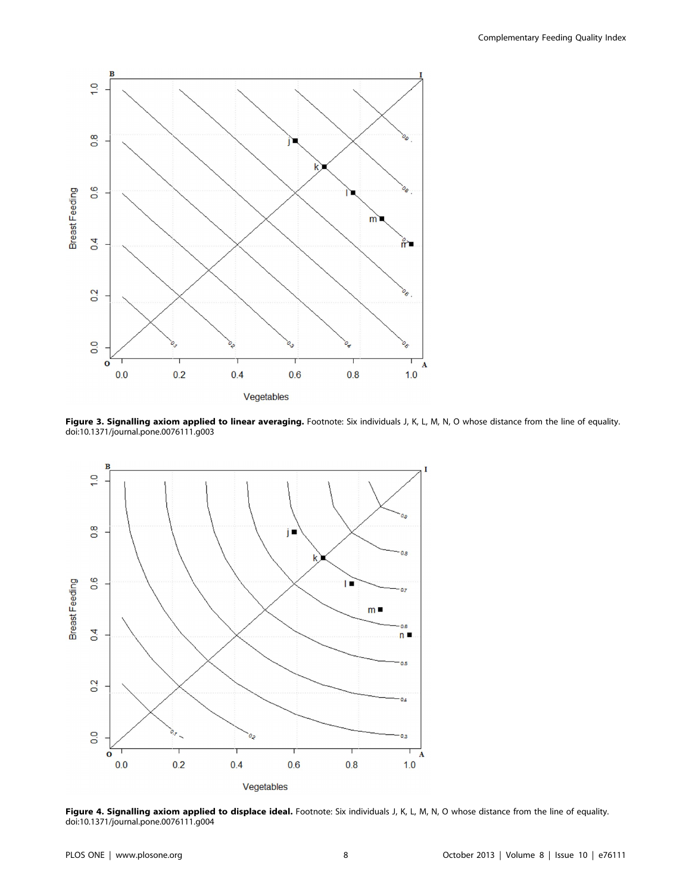

Figure 3. Signalling axiom applied to linear averaging. Footnote: Six individuals J, K, L, M, N, O whose distance from the line of equality. doi:10.1371/journal.pone.0076111.g003



Figure 4. Signalling axiom applied to displace ideal. Footnote: Six individuals J, K, L, M, N, O whose distance from the line of equality. doi:10.1371/journal.pone.0076111.g004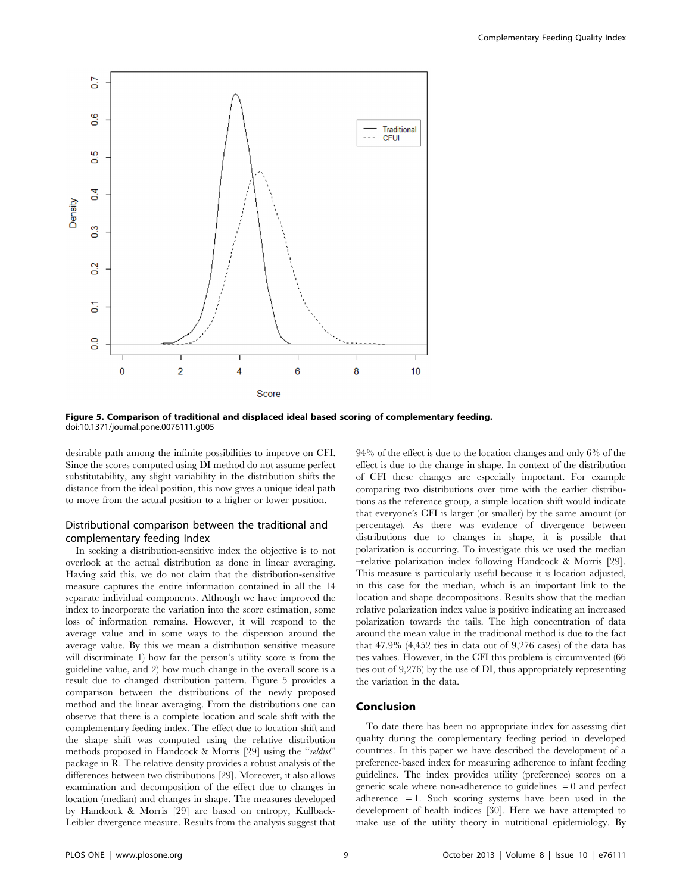

Figure 5. Comparison of traditional and displaced ideal based scoring of complementary feeding. doi:10.1371/journal.pone.0076111.g005

desirable path among the infinite possibilities to improve on CFI. Since the scores computed using DI method do not assume perfect substitutability, any slight variability in the distribution shifts the distance from the ideal position, this now gives a unique ideal path to move from the actual position to a higher or lower position.

# Distributional comparison between the traditional and complementary feeding Index

In seeking a distribution-sensitive index the objective is to not overlook at the actual distribution as done in linear averaging. Having said this, we do not claim that the distribution-sensitive measure captures the entire information contained in all the 14 separate individual components. Although we have improved the index to incorporate the variation into the score estimation, some loss of information remains. However, it will respond to the average value and in some ways to the dispersion around the average value. By this we mean a distribution sensitive measure will discriminate 1) how far the person's utility score is from the guideline value, and 2) how much change in the overall score is a result due to changed distribution pattern. Figure 5 provides a comparison between the distributions of the newly proposed method and the linear averaging. From the distributions one can observe that there is a complete location and scale shift with the complementary feeding index. The effect due to location shift and the shape shift was computed using the relative distribution methods proposed in Handcock & Morris [29] using the "reldist" package in R. The relative density provides a robust analysis of the differences between two distributions [29]. Moreover, it also allows examination and decomposition of the effect due to changes in location (median) and changes in shape. The measures developed by Handcock & Morris [29] are based on entropy, Kullback-Leibler divergence measure. Results from the analysis suggest that 94% of the effect is due to the location changes and only 6% of the effect is due to the change in shape. In context of the distribution of CFI these changes are especially important. For example comparing two distributions over time with the earlier distributions as the reference group, a simple location shift would indicate that everyone's CFI is larger (or smaller) by the same amount (or percentage). As there was evidence of divergence between distributions due to changes in shape, it is possible that polarization is occurring. To investigate this we used the median –relative polarization index following Handcock & Morris [29]. This measure is particularly useful because it is location adjusted, in this case for the median, which is an important link to the location and shape decompositions. Results show that the median relative polarization index value is positive indicating an increased polarization towards the tails. The high concentration of data around the mean value in the traditional method is due to the fact that 47.9% (4,452 ties in data out of 9,276 cases) of the data has ties values. However, in the CFI this problem is circumvented (66 ties out of 9,276) by the use of DI, thus appropriately representing the variation in the data.

# Conclusion

To date there has been no appropriate index for assessing diet quality during the complementary feeding period in developed countries. In this paper we have described the development of a preference-based index for measuring adherence to infant feeding guidelines. The index provides utility (preference) scores on a generic scale where non-adherence to guidelines = 0 and perfect adherence = 1. Such scoring systems have been used in the development of health indices [30]. Here we have attempted to make use of the utility theory in nutritional epidemiology. By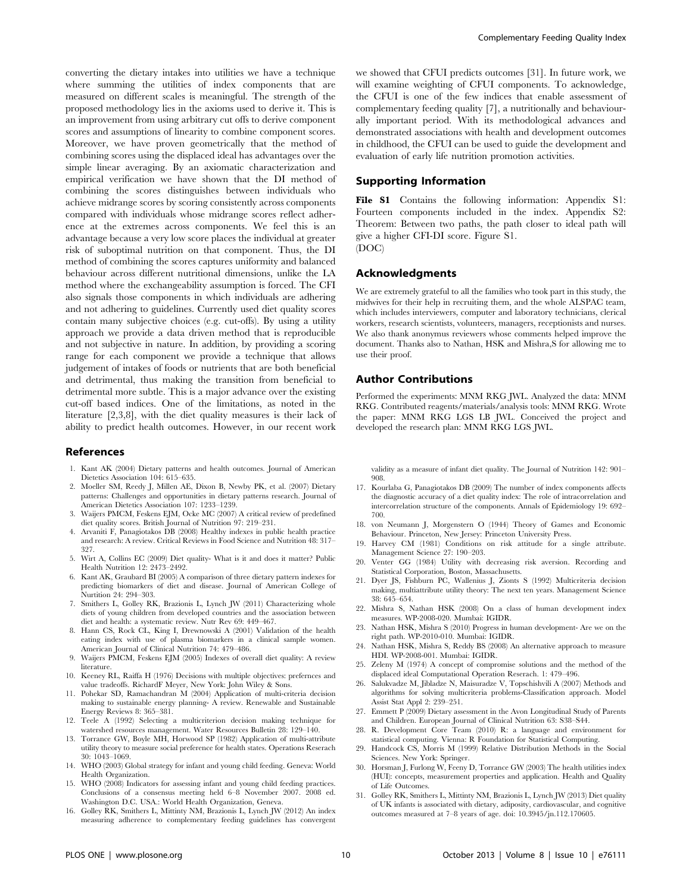converting the dietary intakes into utilities we have a technique where summing the utilities of index components that are measured on different scales is meaningful. The strength of the proposed methodology lies in the axioms used to derive it. This is an improvement from using arbitrary cut offs to derive component scores and assumptions of linearity to combine component scores. Moreover, we have proven geometrically that the method of combining scores using the displaced ideal has advantages over the simple linear averaging. By an axiomatic characterization and empirical verification we have shown that the DI method of combining the scores distinguishes between individuals who achieve midrange scores by scoring consistently across components compared with individuals whose midrange scores reflect adherence at the extremes across components. We feel this is an advantage because a very low score places the individual at greater risk of suboptimal nutrition on that component. Thus, the DI method of combining the scores captures uniformity and balanced behaviour across different nutritional dimensions, unlike the LA method where the exchangeability assumption is forced. The CFI also signals those components in which individuals are adhering and not adhering to guidelines. Currently used diet quality scores contain many subjective choices (e.g. cut-offs). By using a utility approach we provide a data driven method that is reproducible and not subjective in nature. In addition, by providing a scoring range for each component we provide a technique that allows judgement of intakes of foods or nutrients that are both beneficial and detrimental, thus making the transition from beneficial to detrimental more subtle. This is a major advance over the existing cut-off based indices. One of the limitations, as noted in the literature [2,3,8], with the diet quality measures is their lack of ability to predict health outcomes. However, in our recent work

#### References

- 1. Kant AK (2004) Dietary patterns and health outcomes. Journal of American Dietetics Association 104: 615–635.
- 2. Moeller SM, Reedy J, Millen AE, Dixon B, Newby PK, et al. (2007) Dietary patterns: Challenges and opportunities in dietary patterns research. Journal of American Dietetics Association 107: 1233–1239.
- 3. Waijers PMCM, Feskens EJM, Ocke MC (2007) A critical review of predefined diet quality scores. British Journal of Nutrition 97: 219–231.
- 4. Arvaniti F, Panagiotakos DB (2008) Healthy indexes in public health practice and research: A review. Critical Reviews in Food Science and Nutrition 48: 317– 327.
- 5. Wirt A, Collins EC (2009) Diet quality- What is it and does it matter? Public Health Nutrition 12: 2473–2492.
- 6. Kant AK, Graubard BI (2005) A comparison of three dietary pattern indexes for predicting biomarkers of diet and disease. Journal of American College of Nurtition 24: 294–303.
- 7. Smithers L, Golley RK, Brazionis L, Lynch JW (2011) Characterizing whole diets of young children from developed countries and the association between diet and health: a systematic review. Nutr Rev 69: 449–467.
- 8. Hann CS, Rock CL, King I, Drewnowski A (2001) Validation of the health eating index with use of plasma biomarkers in a clinical sample women. American Journal of Clinical Nutrition 74: 479–486.
- 9. Waijers PMCM, Feskens EJM (2005) Indexes of overall diet quality: A review literature.
- 10. Keeney RL, Raiffa H (1976) Decisions with multiple objectives: prefernces and value tradeoffs. RichardF Meyer, New York: John Wiley & Sons.
- 11. Pohekar SD, Ramachandran M (2004) Application of multi-criteria decision making to sustainable energy planning- A review. Renewable and Sustainable Energy Reviews 8: 365–381.
- 12. Teele A (1992) Selecting a multicriterion decision making technique for watershed resources management. Water Resources Bulletin 28: 129–140.
- 13. Torrance GW, Boyle MH, Horwood SP (1982) Application of multi-attribute utility theory to measure social preference for health states. Operations Reserach 30: 1043–1069.
- 14. WHO (2003) Global strategy for infant and young child feeding. Geneva: World Health Organization.
- 15. WHO (2008) Indicators for assessing infant and young child feeding practices. Conclusions of a consensus meeting held 6–8 November 2007. 2008 ed. Washington D.C. USA.: World Health Organization, Geneva.
- 16. Golley RK, Smithers L, Mittinty NM, Brazionis L, Lynch JW (2012) An index measuring adherence to complementary feeding guidelines has convergent

we showed that CFUI predicts outcomes [31]. In future work, we will examine weighting of CFUI components. To acknowledge, the CFUI is one of the few indices that enable assessment of complementary feeding quality [7], a nutritionally and behaviourally important period. With its methodological advances and demonstrated associations with health and development outcomes in childhood, the CFUI can be used to guide the development and evaluation of early life nutrition promotion activities.

# Supporting Information

File S1 Contains the following information: Appendix S1: Fourteen components included in the index. Appendix S2: Theorem: Between two paths, the path closer to ideal path will give a higher CFI-DI score. Figure S1. (DOC)

#### Acknowledgments

We are extremely grateful to all the families who took part in this study, the midwives for their help in recruiting them, and the whole ALSPAC team, which includes interviewers, computer and laboratory technicians, clerical workers, research scientists, volunteers, managers, receptionists and nurses. We also thank anonymus reviewers whose comments helped improve the document. Thanks also to Nathan, HSK and Mishra,S for allowing me to use their proof.

# Author Contributions

Performed the experiments: MNM RKG JWL. Analyzed the data: MNM RKG. Contributed reagents/materials/analysis tools: MNM RKG. Wrote the paper: MNM RKG LGS LB JWL. Conceived the project and developed the research plan: MNM RKG LGS JWL.

validity as a measure of infant diet quality. The Journal of Nutrition 142: 901– 908.

- 17. Kourlaba G, Panagiotakos DB (2009) The number of index components affects the diagnostic accuracy of a diet quality index: The role of intracorrelation and intercorrelation structure of the components. Annals of Epidemiology 19: 692– 700.
- 18. von Neumann J, Morgenstern O (1944) Theory of Games and Economic Behaviour. Princeton, New Jersey: Princeton University Press.
- 19. Harvey CM (1981) Conditions on risk attitude for a single attribute. Management Science 27: 190–203.
- 20. Venter GG (1984) Utility with decreasing risk aversion. Recording and Statistical Corporation, Boston, Massachusetts.
- 21. Dyer JS, Fishburn PC, Wallenius J, Zionts S (1992) Multicriteria decision making, multiattribute utility theory: The next ten years. Management Science 38: 645–654.
- 22. Mishra S, Nathan HSK (2008) On a class of human development index measures. WP-2008-020. Mumbai: IGIDR.
- 23. Nathan HSK, Mishra S (2010) Progress in human development- Are we on the right path. WP-2010-010. Mumbai: IGIDR.
- 24. Nathan HSK, Mishra S, Reddy BS (2008) An alternative approach to measure HDI. WP-2008-001. Mumbai: IGIDR.
- 25. Zeleny M (1974) A concept of compromise solutions and the method of the displaced ideal Computational Operation Reserach. 1: 479–496.
- 26. Salukvadze M, Jibladze N, Maisuradze V, Topschishvili A (2007) Methods and algorithms for solving multicriteria problems-Classification approach. Model Assist Stat Appl 2: 239–251.
- 27. Emmett P (2009) Dietary assessment in the Avon Longitudinal Study of Parents and Children. European Journal of Clinical Nutrition 63: S38–S44.
- 28. R. Development Core Team (2010) R: a language and environment for statistical computing. Vienna: R Foundation for Statistical Computing.
- 29. Handcock CS, Morris M (1999) Relative Distribution Methods in the Social Sciences. New York: Springer.
- 30. Horsman J, Furlong W, Feeny D, Torrance GW (2003) The health utilities index (HUI): concepts, measurement properties and application. Health and Quality of Life Outcomes.
- 31. Golley RK, Smithers L, Mittinty NM, Brazionis L, Lynch JW (2013) Diet quality of UK infants is associated with dietary, adiposity, cardiovascular, and cognitive outcomes measured at 7–8 years of age. doi: 10.3945/jn.112.170605.